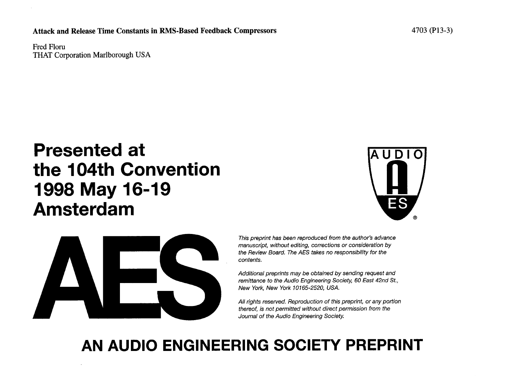Attack and Release Time Constants in RMS-Based Feedback Compressors 4703 (P13-3)

Fred Floru THAT Corporation Marlborough USA

# Presented at AUDIO the 104th Convention 1998 May 16-19 Amsterdam ®





**This preprint has been reproduced from the author's advance manus**c**ript**,**with**o**utediting,**co**rre**c**ti**o**nsor** co**nsiderati**o**nby the Review Board. The AES takes no responsibility for the c**o**ntents**.

Additional preprints may be obtained by sending request and **r**e**mittanc**e**to th**e **AudioEngin**ee**ringSoci**e**ty,60 East42nd St**.**, N**e**w York,N**e**w York10165-2520, USA**.

All rights reserved. Reproduction of this preprint, or any portion **thereof, is not permitted without direct permission from the Journal of the Audio Engineering Society.** 

# AN AUDIO ENGINEERING SOCIETY PREPRINT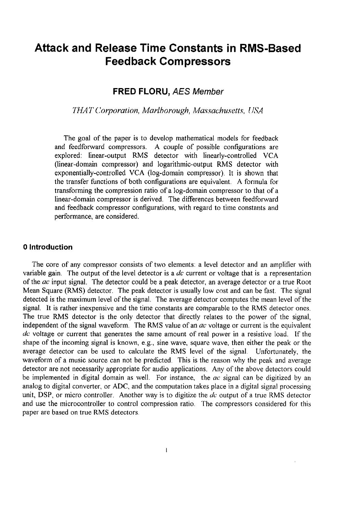# Attack and Release Time Constants in RMS**-**Based Feedback Compressors

# FR*E*D *FL*O*RU***, AES M**e**mb**e**r**

**THAT Corporation**, **Marlborough**, **Ma**x**sachusetts**, **USA**

The goal of the paper is to develop mathematical models for feedback and feedforward compressors. A couple of possible configurations are explored: linear-output RMS detector with linearly-controlled VCA (linear-domain compressor) and logarithmic-output RMS detector with exponentially-controlled VCA (log-domain compressor). It is shown that the transfer functions of both configurations are equivalent. A formula for transforming the compression ratio of a log-domain compressor to that of a linear-domain compressor is derived. The differences between feedforward and feedback compressor configurations, with regard to time constants and performance, are considered.

#### 0 Introduction

The core of any compressor consists of two elements: a level detector and an amplifier with variable gain. The output of the level detector is a **dc** current or voltage that is a representation of the **ac** input signal. The detector could be a peak detector, an average detector or a true Root Mean Square (RMS) detector. The peak detector is usually low cost and can be fast. The signal detected is the maximum level of the signal. The average detector computes the mean level of the signal. It is rather inexpensive and the time constants are comparable to the RMS detector ones. The true RMS detector is the only detector that directly relates to the power of the signal, independent of the signal waveform. The RMS value of an **ac** voltage or current is the equivalent **dc** voltage or current that generates the same amount of real power in a resistive load. If the shape of the incoming signal is known, e.g., sine wave, square wave, then either the peak or the average detector can be used to calculate the RMS level of the signal. Unfortunately, the waveform of a music source can not be predicted. This is the reason why the peak and average detector are not necessarily appropriate for audio applications. Any of the above detectors could be implemented in digital domain as well. For instance, the **ac** signal can be digitized by an analog to digital converter, or ADC, and the computation takes place in a digital signal processing unit, DSP, or micro controller. Another way is to digitize the **d**c' output of a true RMS detector and use the microcontroller to control compression ratio. The compressors considered for this paper are based on true RMS detectors.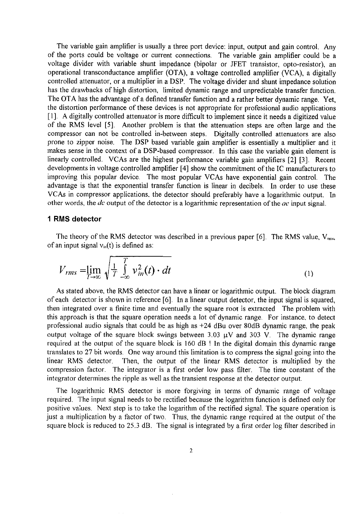The variable gain amplifier is usually a three port device: input, output and gain control. Any of the ports could be voltage or current connections. The variable gain amplifier could be a voltage divider with variable shunt impedance (bipolar or JFET transistor, opto-resistor), an operational transconductance amplifier (OTA), a voltage controlled amplifier (VCA), a digitally controlled attenuator, or a multiplier in a DSP. The voltage divider and shunt impedance solution has the drawbacks of high distortion, limited dynamic range and unpredictable transfer function. The OTA has the advantage of a defined transfer function and a rather better dynamic range. Yet, the distortion performance of these devices is not appropriate for professional audio applications [ 1]. A digitally controlled attenuator is more difficult to implement since it needs a digitized value of the RMS level [5]. Another problem is that the attenuation steps are often large and the compressor can not be controlled in-between steps. Digitally controlled attenuators are also prone to zipper noise. The DSP based variable gain amplifier is essentially a multiplier and it makes sense in the context of a DSP-based compressor. In this case the variable gain element is linearly controlled. VCAs are the highest performance variable gain amplifiers [2] [3]**.** Recent developments in voltage controlled amplifier [4] show the commitment of the IC manufacturers to improving this popular device. The most popular VCAs have exponential gain control. The advantage is that the exponential transfer function is linear in decibels. In order to use these VCAs in compressor applications, the detector should preferably have a logarithmic output. In other words, the **dc** output of the detector is a logarithmic representation of the **ac** input signal.

#### 1 RMS detector

The theory of the RMS detector was described in a previous paper  $[6]$ . The RMS value,  $V_{\text{rms}}$ , of an input signal  $v_{in}(t)$  is defined as:

$$
V_{rms} = \lim_{T \to \infty} \sqrt{\frac{1}{T} \int_{-\infty}^{T} v_{in}^2(t) \cdot dt}
$$
 (1)

As stated above, the RMS detector can have a linear or logarithmic output. The block diagram of each detector is shown in reference [6]. In a linear output detector, the input signal is squared, then integrated over a finite time and eventually the square root is extracted The problem with this approach is that the square operation needs a lot of dynamic range. For instance, to detect professional audio signals that could be as high as  $+24$  dBu over 80dB dynamic range, the peak output voltage of the square block swings between 3.03  $\mu$ V and 303 V. The dynamic range required at the output of the square block is 160 dB ! In the digital domain this dynamic range translates to 27 bit words. One way around this limitation is to compress the signal going into the Then, the output of the linear RMS detector is multiplied by the compression factor. The integrator is a first order low pass filter. The time constant of the integrator determines the ripple as well as the transient response at the detector output.

The logarithmic RMS detector is more forgiving in terms of dynamic range of voltage required. The input signal needs to be rectified because the logarithm function is defined only for positive values. Next step is to take the logarithm of the rectified signal. The square operation is just a multiplication by a factor of two. Thus, the dynamic range required at the output of the square block is reduced to 25.3 dB. The signal is integrated by a first order log filter described in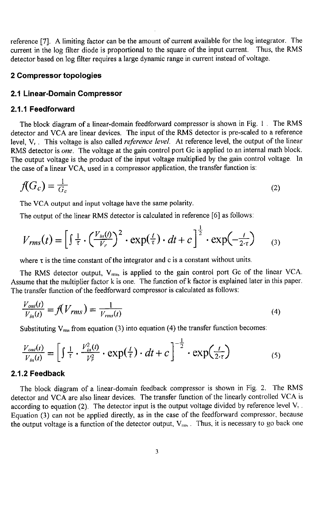reference [7]. A limiting factor can be the am*o*unt of current available for the log integrator. The current in the log filter diode is proportional to the square of the input current. Thus. the RMS detector based on log filter requires a large dynamic range in current instead of voltage.

#### 2 Compressor topologies

#### 2.1 Linear**-**Domain Compressor

#### 2.1.1 Feedforward

The block diagram of a linear-domain feedforward compressor is shown in Fig. I . The RMS detector and VCA are linear devices. The input of the RMS detector is pre-scaled to a reference level, Vr. This voltage is also called **reference level**. At reference level, the output of the linear RMS detector is **one**. The voltage at the gain control port Gc is applied to an internal math block. The output voltage is the product of the input voltage multiplied by the gain control voltage. In the case of a linear VCA, used in a compressor application, the transfer function is:

$$
f(G_c) = \frac{1}{G_c} \tag{2}
$$

The VCA output and input voltage have the same polarity.

The output of the linear RMS detector is calculated in reference [6] as follows:

$$
V_{rms}(t) = \left[\int \frac{1}{\tau} \cdot \left(\frac{V_{in}(t)}{V_r}\right)^2 \cdot \exp(\frac{t}{\tau}) \cdot dt + c\right]^{\frac{1}{2}} \cdot \exp(-\frac{t}{2\cdot \tau}) \qquad (3)
$$

I

where  $\tau$  is the time constant of the integrator and c is a constant without units.

The RMS detector output,  $V_{\text{rms}}$ , is applied to the gain control port Gc of the linear VCA. Assume that the multiplier factor k is one. The function of k factor is explained later in this paper. The transfer function of the feedforward compressor is calculated as follows:

$$
\frac{V_{out}(t)}{V_{in}(t)} = f(V_{rms}) = \frac{1}{V_{rms}(t)}
$$
\n(4)

Substituting  $V_{\text{rms}}$  from equation (3) into equation (4) the transfer function becomes:

$$
\frac{V_{out}(t)}{V_{in}(t)} = \left[ \int \frac{1}{\tau} \cdot \frac{V_{in}^2(t)}{V_r^2} \cdot \exp(\frac{t}{\tau}) \cdot dt + c \right]^{-\frac{1}{2}} \cdot \exp(\frac{t}{2\cdot \tau}) \tag{5}
$$

## 2.1.2 Feedback

The block diagram of a linear-domain feedback compressor is shown in Fig. 2. The RMS detector and VCA are also linear devi**c**es. The transfer function of the linearly controlled VCA is according to equation (2). The detector input is the output voltage divided by reference level  $V_1$ .<br>Equation (3) can not be applied directly, as in the case of the feedforward compressor, because Equation (3) can not be applied directly, as in the case of the feedforward compressor, because the output voltage is a function of the detector output,  $V_{\text{rms}}$ . Thus, it is necessary to go back one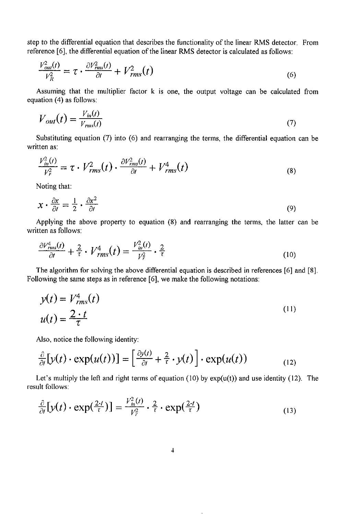step to the differential equation that describes the functionality of the linear RMS detector. From reference [6], the differential equation of the linear RMS detector is calculated as follows:

$$
\frac{V_{out}^2(t)}{V_R^2} = \tau \cdot \frac{\partial V_{rms}^2(t)}{\partial t} + V_{rms}^2(t)
$$
\n(6)

Assuming that the multiplier factor k is one, the output voltage can be calculated from equation (4) as follows:

$$
V_{out}(t) = \frac{V_{in}(t)}{V_{rms}(t)}
$$
\n<sup>(7)</sup>

Substituting equation (7) into (6) and rearranging the terms, the differential equation can be written as:

$$
\frac{V_{in}^2(t)}{V_r^2} = \tau \cdot V_{rms}^2(t) \cdot \frac{\partial V_{rms}^2(t)}{\partial t} + V_{rms}^4(t)
$$
\n(8)

Noting that:

$$
x \cdot \frac{\partial x}{\partial t} = \frac{1}{2} \cdot \frac{\partial x^2}{\partial t} \tag{9}
$$

Applying the above property to equation (8) and rearranging the terms, the latter can be written as follows:

$$
\frac{\partial V_{rms}^4(t)}{\partial t} + \frac{2}{\tau} \cdot V_{rms}^4(t) = \frac{V_{in}^2(t)}{V_r^2} \cdot \frac{2}{\tau}
$$
 (10)

The algorithm for solving the above differential equation is described in references [6] and [8]. Following the same steps as in reference [6], we make the following notations:

$$
y(t) = V_{rms}^4(t)
$$
  

$$
u(t) = \frac{2 \cdot t}{\tau}
$$
 (11)

Also, notice the following identity:

$$
\frac{\partial}{\partial t}[y(t) \cdot \exp(u(t))] = \left[\frac{\partial y(t)}{\partial t} + \frac{2}{\tau} \cdot y(t)\right] \cdot \exp(u(t)) \tag{12}
$$

Let's multiply the left and right terms of equation (10) by  $exp(u(t))$  and use identity (12). The result follows:

$$
\frac{\partial}{\partial t}[y(t)\cdot \exp(\frac{2\cdot t}{\tau})] = \frac{V_{in}^2(t)}{V_{\tau}^2}\cdot \frac{2}{\tau}\cdot \exp(\frac{2\cdot t}{\tau})
$$
\n(13)

 $\overline{a}$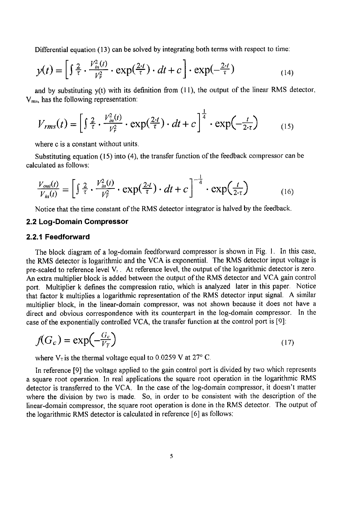Differential equation (13) can be solved by integrating both terms with respect to time:

$$
y(t) = \left[\int \frac{2}{\tau} \cdot \frac{V_{in}^2(t)}{V_{\tau}^2} \cdot \exp(\frac{2\tau}{\tau}) \cdot dt + c\right] \cdot \exp(-\frac{2\tau}{\tau})
$$
(14)

and by substituting  $y(t)$  with its definition from (11), the output of the linear RMS detector, V<sub>ms</sub>, has the following representation:

 $\overline{1}$ 

$$
V_{rms}(t) = \left[\int \frac{2}{\tau} \cdot \frac{V_{m}^{2}(t)}{V_{r}^{2}} \cdot \exp(\frac{2\tau}{\tau}) \cdot dt + c\right]^{\frac{1}{4}} \cdot \exp(-\frac{t}{2\tau})
$$
 (15)

where c is a constant without units.

Substituting equation (15) into (4), the transfer function of the feedback compressor can be calculated as follows:

$$
\frac{V_{out}(t)}{V_{in}(t)} = \left[ \int \frac{2}{\tau} \cdot \frac{V_{in}^2(t)}{V_r^2} \cdot \exp(\frac{2\tau}{\tau}) \cdot dt + c \right]^{-\frac{1}{4}} \cdot \exp(\frac{t}{2\tau})
$$
(16)

Notice that the time constant of the RMS detector integrator is halved by the feedback.

#### 2.2 Lo*g*-Doma*i*n Com*p*r*e*ssor

#### 2.2.*1* F*ee*d*f*orward

The block diagram of a log-domain feedforward compressor is shown in Fig. 1. In this case, the RMS detector is logarithmic and the VCA is exponential. The RMS detector input voltage is pre-scaled to reference level Vr. At reference level, the output of the logarithmic detector is **z**ero. An extra multiplier block is added between the output of the RMS detector and VCA gain control port. Multiplier k defines the compression ratio, which is analyzed later in this paper. Notice that factor k multiplies a logarithmic representation of the RMS detector input signal. A similar multiplier block, in the linear-domain compressor, was not shown because it does not have a direct and obvious correspondence with its counterpart in the log-domain compressor. In the case of the exponentially controlled VCA, the transfer function at the control port is [9]:

$$
f(G_c) = \exp\left(-\frac{G_c}{V_T}\right) \tag{17}
$$

where  $V_T$  is the thermal voltage equal to 0.0259 V at 27° C.

In reference [9] the voltage applied to the gain control port is divided by two which represents a square root operation. In real applications the square root operation in the logarithmic RMS detector is transferred to the VCA. In the case of the log-domain compressor, it doesn't matter where the division by two is made. So, in order to be consistent with the description of the linear-domain compressor, the square root operation is done in the RMS detector. The output of the logarithmic RMS detector is calculated in reference [6] as follows: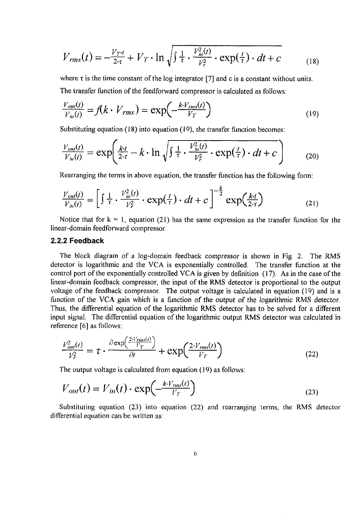$$
V_{rms}(t) = -\frac{V_{T}t}{2\tau} + V_T \cdot \ln \sqrt{\int \frac{1}{\tau} \cdot \frac{V_m^2(t)}{V_r^2} \cdot \exp(\frac{t}{\tau}) \cdot dt + c}
$$
(18)

where  $\tau$  is the time constant of the log integrator [7] and c is a constant without units.

The transfer function of the feedforward compressor is calculated as follows:

$$
\frac{V_{out}(t)}{V_{in}(t)} = f(k \cdot V_{rms}) = \exp\left(-\frac{k \cdot V_{rms}(t)}{V_T}\right)
$$
\n(19)

Substitu**t**ing equati**o**n (18) into equation (19), the transfer function becomes:

$$
\frac{V_{\text{out}}(t)}{V_{\text{in}}(t)} = \exp\left(\frac{k \cdot t}{2 \cdot \tau} - k \cdot \ln \sqrt{\int \frac{1}{\tau} \cdot \frac{V_{\text{in}}^2(t)}{V_{\tau}^2} \cdot \exp(\frac{t}{\tau}) \cdot dt + c}\right) \tag{20}
$$

Rearranging the terms in above equation, the transfer function has the following form:

$$
\frac{V_{out}(t)}{V_{in}(t)} = \left[\int \frac{1}{\tau} \cdot \frac{V_{in}^2(t)}{V_r^2} \cdot \exp(\frac{t}{\tau}) \cdot dt + c\right]^{-\frac{k}{2}} \exp(\frac{k \cdot t}{2 \cdot \tau})
$$
(21)

Notice that for  $k = 1$ , equation (21) has the same expression as the transfer function for the linear-domain feedforward compressor.

#### 2.2.2 Feedback

The block diagram of a log-domain feedback compressor is shown in Fig. 2. The RMS detector is logarithmic and the VCA is exponentially controlled. The transfer function at the control port of the exponentially controlled VCA is given by definition (17). As in the case of the linear-domain feedback compressor, the input of the RMS detector is proportional to the output voltage of the feedback compressor. The output voltage is calculated in equation (19) and is a f**u**n**ct**i**o**n of the VCA gai**n** whi**c**h is a fun**c**ti**o**n of **t**he **o**utpu**t** of **t**he l**o**gari**t**hmi**c** RMS detec**to**r. Thus, the differential equation of the logarithmic RMS detector has to be solved for a different input signal. The differential equation of the logarithmic output RMS detector was calculated in reference [6] as follows:

$$
\frac{V_{out}^2(t)}{V_T^2} = \tau \cdot \frac{\partial \exp\left(\frac{2\cdot V_{rms}(t)}{V_T}\right)}{\partial t} + \exp\left(\frac{2\cdot V_{rms}(t)}{V_T}\right) \tag{22}
$$

The output voltage is calculated from equation (19) as follows:

$$
V_{out}(t) = V_{in}(t) \cdot \exp\left(-\frac{k \cdot V_{rms}(t)}{V_T}\right) \tag{23}
$$

Substituting equation  $(23)$  into equation  $(22)$  and rearranging terms, the RMS detector differential equation can be written as: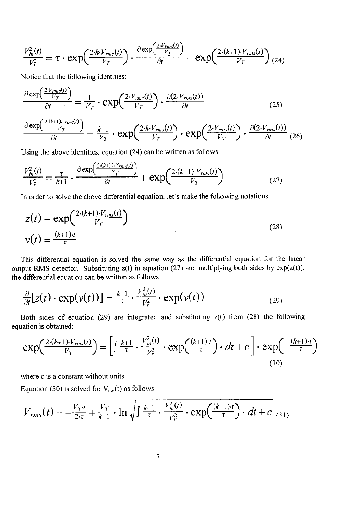$$
\frac{V_{in}^2(t)}{V_T^2} = \tau \cdot \exp\left(\frac{2 \cdot k \cdot V_{rms}(t)}{V_T}\right) \cdot \frac{\partial \exp\left(\frac{2 \cdot V_{rms}(t)}{V_T}\right)}{\partial t} + \exp\left(\frac{2 \cdot (k+1) \cdot V_{rms}(t)}{V_T}\right) (24)
$$

 $\sim$ 

Notice that the following identities:

$$
\frac{\partial \exp\left(\frac{2\cdot V_{rms}(t)}{V_T}\right)}{\partial t} = \frac{1}{V_T} \cdot \exp\left(\frac{2\cdot V_{rms}(t)}{V_T}\right) \cdot \frac{\partial (2\cdot V_{rms}(t))}{\partial t}
$$
\n
$$
\frac{\partial \exp\left(\frac{2\cdot (k+1)V_{rms}(t)}{V_T}\right)}{\partial t} \cdot \frac{\partial (2\cdot V_{rms}(t))}{\partial t} \tag{25}
$$

$$
\frac{\partial \exp\left(\frac{V_T}{V_T}\right)}{\partial t} = \frac{k+1}{V_T} \cdot \exp\left(\frac{2 \cdot k \cdot V_{rms}(t)}{V_T}\right) \cdot \exp\left(\frac{2 \cdot V_{rms}(t)}{V_T}\right) \cdot \frac{\partial (2 \cdot V_{rms}(t))}{\partial t} (26)
$$

Using the above identities, equation (24) can be written as follows:

$$
\frac{V_{in}^2(t)}{V_r^2} = \frac{\tau}{k+1} \cdot \frac{\partial \exp\left(\frac{2\cdot (k+1)\cdot V_{rms}(t)}{V_T}\right)}{\partial t} + \exp\left(\frac{2\cdot (k+1)\cdot V_{rms}(t)}{V_T}\right) \tag{27}
$$

In order to solve the above differential equation, let's make the following notations:

$$
z(t) = \exp\left(\frac{2\cdot (k+1)\cdot V_{rms}(t)}{V_T}\right)
$$
  

$$
v(t) = \frac{(k+1)\cdot t}{\tau}
$$
 (28)

This differential equation is solved the same way as the differential equation for the linear output RMS detector. Substituting  $z(t)$  in equation (27) and multiplying both sides by  $exp(z(t))$ , the differential equation can be written as follows:

$$
\frac{\partial}{\partial t}[z(t)\cdot \exp(\nu(t))] = \frac{k+1}{\tau}\cdot \frac{V_{in}^2(t)}{V_{\tau}^2}\cdot \exp(\nu(t))\tag{29}
$$

Both sides of equation (29) are integrated and substituting  $z(t)$  from (28) the following equation is obtained:

$$
\exp\left(\frac{2\cdot(k+1)\cdot V_{rms}(t)}{V_T}\right) = \left[\int \frac{k+1}{\tau} \cdot \frac{V_{in}^2(t)}{V_T^2} \cdot \exp\left(\frac{(k+1)\cdot t}{\tau}\right) \cdot dt + c\right] \cdot \exp\left(-\frac{(k+1)\cdot t}{\tau}\right)
$$
\n(30)

where c is a constant without units.

Equation (30) is solved for  $V_{\text{ms}}(t)$  as follows:

$$
V_{rms}(t) = -\frac{V_{T}t}{2\tau} + \frac{V_{T}}{k+1} \cdot \ln \sqrt{\int \frac{k+1}{\tau} \cdot \frac{V_{m}^{2}(t)}{V_{r}^{2}} \cdot \exp\left(\frac{(k+1) \cdot t}{\tau}\right) \cdot dt + c_{(31)}
$$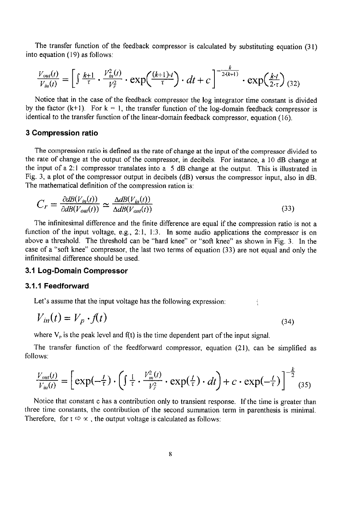The transfer function of the feedback compressor is calculated by substituting equation (31) into equation (19) as follows:

$$
\frac{V_{out}(t)}{V_{in}(t)} = \left[ \int \frac{k+1}{\tau} \cdot \frac{V_{in}^2(t)}{V_r^2} \cdot \exp\left(\frac{(k+1)\cdot t}{\tau}\right) \cdot dt + c \right]^{-\frac{k}{2\cdot (k+1)}} \cdot \exp\left(\frac{k\cdot t}{2\cdot \tau}\right) (32)
$$

Notice that in the case of the feedback compressor the log integrator time constant is divided by the factor  $(k+1)$ . For  $k = 1$ , the transfer function of the log-domain feedback compressor is identical to the transfer function of the linear-domain feedback compressor, equation (16).

#### 3 Compression ratio

The compression ratio is defined as the rate of change at the input of the compressor divided to the rate of change at the output of the compressor, in decibels. For instance, a 10 dB change at the input of a 2:1 compressor translates into a 5 dB change at the output. This is illustrated in Fig. 3, a plot of the compressor output in decibels (dB) versus the compressor input, also in dB. The mathematical definition of the compression ration is:

$$
C_r = \frac{\partial dB(V_{in}(t))}{\partial dB(V_{out}(t))} \simeq \frac{\Delta dB(V_{in}(t))}{\Delta dB(V_{out}(t))}
$$
\n(33)

The infinitesimal difference and the finite difference are equal if the compression ratio is not a function of the input voltage, e.g., 2:1, 1:3. In some audio applications the compressor is on above a threshold. The threshold can be "hard knee" or "soft knee" as shown in Fig. 3. In the case of a "soft knee" compressor, the last two terms of equation (33) are not equal and only the infinitesimal difference should be used.

## 3**A** Log**-**Domain Compressor

#### 3.1**A** Feedforward

Let's assume that the input voltage has the following expression:

$$
V_{in}(t) = V_p \cdot f(t) \tag{34}
$$

where  $V_p$  is the peak level and  $f(t)$  is the time dependent part of the input signal.

The transfer function of the feedforward compressor, equation (21), can be simplified as follows:

$$
\frac{V_{out}(t)}{V_{in}(t)} = \left[ \exp(-\frac{t}{\tau}) \cdot \left( \int \frac{1}{\tau} \cdot \frac{V_{in}^2(t)}{V_{\tau}^2} \cdot \exp(\frac{t}{\tau}) \cdot dt \right) + c \cdot \exp(-\frac{t}{\tau}) \right]^{-\frac{k}{2}} (35)
$$

Notice that constant c has a contribution only to transient response. If the time is greater than three time constants, the contribution of the second summation term in parenthesis is minimal. Therefore, for  $t \approx \infty$ , the output voltage is calculated as follows: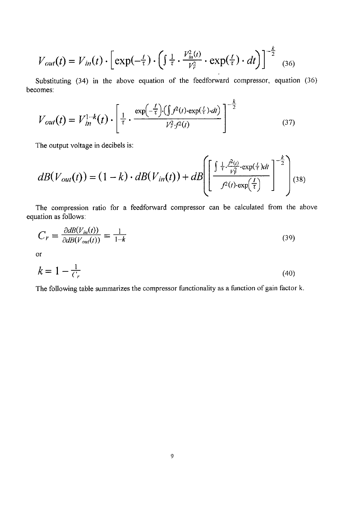$$
V_{out}(t) = V_{in}(t) \cdot \left[ \exp(-\frac{t}{\tau}) \cdot \left( \int \frac{1}{\tau} \cdot \frac{V_{in}^2(t)}{V_r^2} \cdot \exp(\frac{t}{\tau}) \cdot dt \right) \right]^{-\frac{k}{2}} \tag{36}
$$

Substituting (34) in the above equation of the feedforward compressor, equation (36) becomes:

$$
V_{out}(t) = V_{in}^{1-k}(t) \cdot \left[ \frac{1}{\tau} \cdot \frac{\exp(-\frac{t}{\tau}) \cdot (\int f^{2}(t) \cdot \exp(\frac{t}{\tau}) \cdot dt)}{V_{\tau}^{2} \cdot f^{2}(t)} \right]^{-\frac{k}{2}}
$$
(37)

The output voltage in de**c**ibels is:

$$
dB(V_{out}(t)) = (1-k) \cdot dB(V_{in}(t)) + dB\left(\left[\frac{\int \frac{1}{\tau} \cdot \frac{\beta^2(t)}{V_T^2} \cdot \exp(\frac{t}{\tau}) dt}{\beta^2(t) \cdot \exp(\frac{t}{\tau})}\right]^{-\frac{k}{2}}\right]^{1/38}
$$

The compression ratio for a feedforward compressor can be calculated from the above equation as follows:

$$
C_r = \frac{\partial d B(V_{in}(t))}{\partial d B(V_{out}(t))} = \frac{1}{1 - k} \tag{39}
$$

or

$$
k = 1 - \frac{1}{C_r} \tag{40}
$$

The following table summarizes the compressor functionality as a function of gain factor k.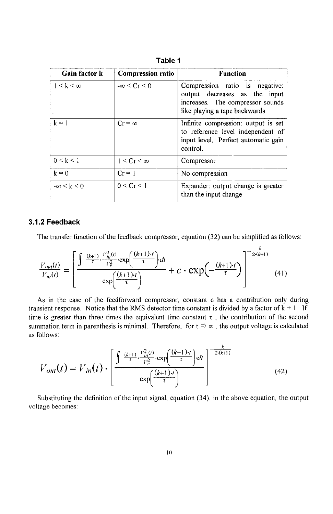| <b>Gain factor k</b>   | <b>Compression ratio</b> | <b>Function</b><br>Compression ratio is negative:<br>output decreases as the input<br>increases. The compressor sounds<br>like playing a tape backwards. |  |
|------------------------|--------------------------|----------------------------------------------------------------------------------------------------------------------------------------------------------|--|
| $1 \leq k \leq \infty$ | $-\infty < Cr < 0$       |                                                                                                                                                          |  |
| $k = 1$                | $Cr = \infty$            | Infinite compression: output is set<br>to reference level independent of<br>input level. Perfect automatic gain<br>control.                              |  |
| $0 \le k \le 1$        | $1 < Cr < \infty$        | Compressor                                                                                                                                               |  |
| $k = 0$                | $Cr = 1$                 | No compression                                                                                                                                           |  |
| $-\infty < k < 0$      | 0 < Cr < 1               | Expander: output change is greater<br>than the input change                                                                                              |  |

Table 1

#### *3*.*1*.2 *Feedb*a*ck*

The transfer function of the feedback compressor, equation (32) can be simplified as follows:

**k**

$$
\frac{V_{out}(t)}{V_{in}(t)} = \left[ \frac{\int \frac{(k+1)}{\tau} \cdot \frac{V_{in}^2(t)}{V_F^2} \cdot \exp\left(\frac{(k+1)\cdot t}{\tau}\right) dt}{\exp\left(\frac{(k+1)\cdot t}{\tau}\right)} + c \cdot \exp\left(-\frac{(k+1)\cdot t}{\tau}\right) \right]^{-\frac{k}{2\cdot (k+1)}} (41)
$$

A**s** in the case of the feedforward compressor, constant c has a contribution only during transient response. Notice that the RMS detector time constant is divided by a factor of  $k + 1$ . If time is greater than three times the equivalent time constant  $\tau$ , the contribution of the second summation term in parenthesis is minimal. Therefore, for  $t \Rightarrow \infty$ , the output voltage is calculated as follows:

$$
V_{\text{out}}(t) = V_{\text{in}}(t) \cdot \left[ \frac{\int \frac{(k+1)}{\tau} \cdot \frac{I_{\text{in}}^2(t)}{I_{\tau}^2} \cdot \exp\left(\frac{(k+1) \cdot t}{\tau}\right) \cdot dt}{\exp\left(\frac{(k+1) \cdot t}{\tau}\right)} \right]^{-\frac{k}{2 \cdot (k+1)}}
$$
(42)

Substituting the definition of the input signal, equation (34), in the above equation, the output voltage becomes: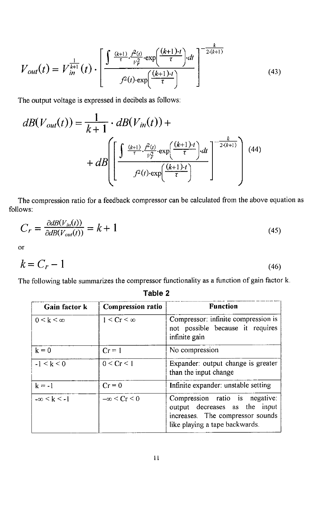$$
V_{out}(t) = V_{in}^{\frac{1}{k+1}}(t) \cdot \left[ \frac{\int \frac{(k+1)}{\tau} \cdot \frac{r^2(t)}{\nu_r^2} \cdot \exp\left(\frac{(k+1) \cdot t}{\tau}\right) \cdot dt}{f^2(t) \cdot \exp\left(\frac{(k+1) \cdot t}{\tau}\right)} \right]^{-\frac{k}{2 \cdot (k+1)}}
$$
(43)

The output voltage is expressed in decibels as follows:

$$
dB(V_{out}(t)) = \frac{1}{k+1} \cdot dB(V_{in}(t)) +
$$
  
+ 
$$
dB\left[\left[\frac{\int \frac{(k+1)}{\tau} \cdot \frac{t^2(t)}{V_T^2} \cdot \exp\left(\frac{(k+1) \cdot t}{\tau}\right) dt}{t^2(t) \cdot \exp\left(\frac{(k+1) \cdot t}{\tau}\right)}\right]^{-\frac{k}{2(k+1)}}\right]
$$
(44)

The compression ratio for a feedback compressor can be calculated from the above equation as follows:

$$
C_r = \frac{\partial dB(V_{in}(t))}{\partial dB(V_{out}(t))} = k + 1
$$
\n(45)

or

$$
k = C_r - 1 \tag{46}
$$

The following table summarizes the compressor functionality as a function of gain factor k.

| Tavic 4                |                          |                                                                                                                                       |  |  |
|------------------------|--------------------------|---------------------------------------------------------------------------------------------------------------------------------------|--|--|
| Gain factor k          | <b>Compression ratio</b> | <b>Function</b><br>Compressor: infinite compression is<br>not possible because it requires<br>infinite gain                           |  |  |
| $0 \leq k \leq \infty$ | $1 \leq Cr \leq \infty$  |                                                                                                                                       |  |  |
| $k = 0$                | $Cr = 1$                 | No compression                                                                                                                        |  |  |
| $-1 < k < 0$           | 0 < Cr < 1               | Expander: output change is greater<br>than the input change                                                                           |  |  |
| $k = -1$               | $Cr = 0$                 | Infinite expander: unstable setting                                                                                                   |  |  |
| $-\infty < k < -1$     | $-\infty \le Cr \le 0$   | Compression ratio is negative:<br>output decreases as the input<br>increases. The compressor sounds<br>like playing a tape backwards. |  |  |

# Table 2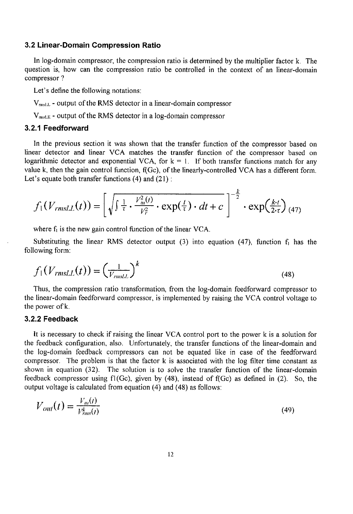#### 3.2 Linear-Domain Compression Ratio

In log**-**domain compressor, the compression ratio is determined by the multiplier factor k. The question is, how can the compression ratio be controlled in the context of an linear-domain compressor ?

Let's define the following notations:

 $V_{\text{msLL}}$  - output of the RMS detector in a linear-domain compressor

 $V_{\text{mask}}$  - output of the RMS detector in a log-domain compressor

#### 3.2.1 Feedforward

In the previous section it was shown that the transfer function of the compressor based on linear detector and linear VCA matches the transfer function of the compressor based on logarithmic detector and exponential VCA, for  $k = 1$ . If both transfer functions match for any value k, then the gain control function, f(Gc), of the linearly-controlled VCA has a different form. Let's equate both transfer functions  $(4)$  and  $(21)$ :

$$
f_1(V_{rmsLL}(t)) = \left[\sqrt{\int \frac{1}{\tau} \cdot \frac{V_{in}^2(t)}{V_r^2} \cdot \exp(\frac{t}{\tau}) \cdot dt + c}\right]^{-\frac{k}{2}} \cdot \exp(\frac{k \cdot t}{2 \cdot \tau})_{(47)}
$$

where  $f_i$  is the new gain control function of the linear VCA.

Substituting the linear RMS detector output (3) into equation (47), function  $f_1$  has the following form:

$$
f_1(V_{rmsLL}(t)) = \left(\frac{1}{V_{rmsLL}}\right)^k
$$
\n(48)

Thus, the compression ratio transformation, from the log-domain feedforward compressor to the linear-domain feedforward compressor, is implemented by raising the VCA control voltage to the power of k.

#### 3.2.2 Feedback

It is necessary to check if raising the linear VCA control port to the power k is a solution for the feedback configuration, also. Unfortunately, the transfer functions of the linear-domain and the log-domain feedback compressors can not be equated like in case of the feedforward compressor. The problem is that the factor k is associated with the log filter time constant as shown in equation (32). The solution is to solve the transfer function of the linear-domain feedback compressor using fl(Gc), given by (48), instead of f(Gc) as defined in (2). So, the output voltage is calculated from equation (4) and (48) as follows:

$$
V_{\text{out}}(t) = \frac{V_{\text{in}}(t)}{V_{\text{max}}^k(t)}\tag{49}
$$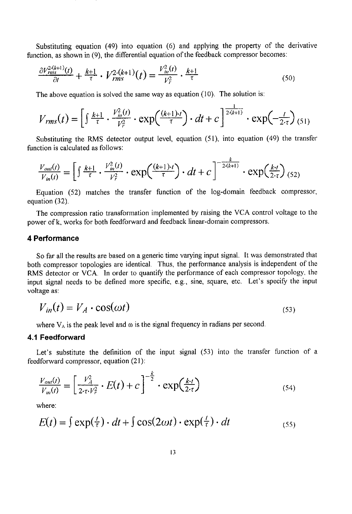Substituting equation  $(49)$  into equation  $(6)$  and applying the property of the derivative function, as shown in (9), the differential equation of the feedback compressor becomes:

$$
\frac{\partial V_{rms}^{2-(k+1)}(t)}{\partial t} + \frac{k+1}{\tau} \cdot V_{rms}^{2-(k+1)}(t) = \frac{V_{in}^{2}(t)}{V_{r}^{2}} \cdot \frac{k+1}{\tau}
$$
(50)

The above equation is solved the same way as equation (10). The solution is:

$$
V_{rms}(t) = \left[\int \frac{k+1}{\tau} \cdot \frac{V_{in}^2(t)}{V_r^2} \cdot \exp\left(\frac{(k+1)\cdot t}{\tau}\right) \cdot dt + c\right]^{\frac{1}{2\cdot(k+1)}} \cdot \exp\left(-\frac{t}{2\cdot \tau}\right)_{(51)}
$$

Substituting the RMS detector output level, equation (51), into equation (49) the transfer function is calculated as follows:

$$
\frac{V_{out}(t)}{V_{in}(t)} = \left[\int \frac{k+1}{\tau} \cdot \frac{V_{in}^2(t)}{V_r^2} \cdot \exp\left(\frac{(k+1)\cdot t}{\tau}\right) \cdot dt + c\right]^{-\frac{k}{2\cdot (k+1)}} \cdot \exp\left(\frac{k\cdot t}{2\cdot \tau}\right)_{(52)}
$$

Equation (52) matches the transfer function of the log-domain feedback compressor, equation (32).

The compression ratio transformation implemented by raising the VCA control voltage to the power of k, works for both feedforward and feedback linear-domain compressors.

#### 4 Performance

So far all the results are based on a generic time varying input signal. It was demonstrated that both compressor topologies are identical. Thus, the performance analysis is independent of the RMS detector or VCA. In order to quantify the performance of each compressor topology, the input signal needs to be defined more specific, e.g., sine, square, etc. Let's specify the input voltage as:

$$
V_{in}(t) = V_A \cdot \cos(\omega t) \tag{53}
$$

where  $V_A$  is the peak level and  $\omega$  is the signal frequency in radians per second.

#### 4.1 Feedforward

Let's substitute the definition of the input signal (53) into the transfer function of a feedforward compressor, equation (21 ):

$$
\frac{V_{out}(t)}{V_{in}(t)} = \left[\frac{V_A^2}{2\cdot\tau\cdot V_T^2} \cdot E(t) + c\right]^{-\frac{k}{2}} \cdot \exp(\frac{k\cdot t}{2\cdot\tau})
$$
(54)

where:

$$
E(t) = \int \exp(\frac{t}{\tau}) \cdot dt + \int \cos(2\omega t) \cdot \exp(\frac{t}{\tau}) \cdot dt
$$
\n(55)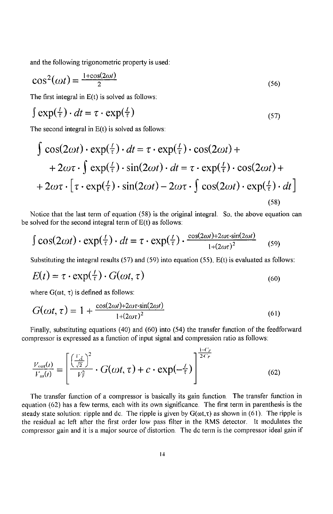and the following trigonometric property is used:

$$
\cos^2(\omega t) = \frac{1 + \cos(2\omega t)}{2} \tag{56}
$$

The first integral in  $E(t)$  is solved as follows:

$$
\int \exp(\frac{t}{\tau}) \cdot dt = \tau \cdot \exp(\frac{t}{\tau})
$$
\n<sup>(57)</sup>

The second integral in  $E(t)$  is solved as follows:

$$
\int \cos(2\omega t) \cdot \exp(\frac{t}{\tau}) \cdot dt = \tau \cdot \exp(\frac{t}{\tau}) \cdot \cos(2\omega t) ++ 2\omega\tau \cdot \int \exp(\frac{t}{\tau}) \cdot \sin(2\omega t) \cdot dt = \tau \cdot \exp(\frac{t}{\tau}) \cdot \cos(2\omega t) ++ 2\omega\tau \cdot [\tau \cdot \exp(\frac{t}{\tau}) \cdot \sin(2\omega t) - 2\omega\tau \cdot \int \cos(2\omega t) \cdot \exp(\frac{t}{\tau}) \cdot dt]
$$
\n(58)

Notice that the last term of equation (58) is the original integral. So, the above equation can be solved for the second integral term of E(t) as follows:

$$
\int \cos(2\omega t) \cdot \exp(\frac{t}{\tau}) \cdot dt = \tau \cdot \exp(\frac{t}{\tau}) \cdot \frac{\cos(2\omega t) + 2\omega \tau \cdot \sin(2\omega t)}{1 + (2\omega \tau)^2}
$$
(59)

Substituting the integral results  $(57)$  and  $(59)$  into equation  $(55)$ ,  $E(t)$  is evaluated as follows:

$$
E(t) = \tau \cdot \exp(\frac{t}{\tau}) \cdot G(\omega t, \tau)
$$
\n(60)

where  $G(\omega t, \tau)$  is defined as follows:

$$
G(\omega t, \tau) = 1 + \frac{\cos(2\omega t) + 2\omega \tau \cdot \sin(2\omega t)}{1 + (2\omega \tau)^2}
$$
(61)

Finally, substituting equations (40) and (60) into (54) the transfer function of the feedforward compressor is expressed as a function of input signal and compression ratio as follows:

$$
\frac{V_{out}(t)}{V_{in}(t)} = \left[\frac{\left(\frac{V_{\cdot,t}}{\sqrt{2}}\right)^2}{V_{\tau}^2} \cdot G(\omega t, \tau) + c \cdot \exp(-\frac{t}{\tau})\right]^{\frac{1-C_r}{2+C_r}}
$$
(62)

The transfer function of a compressor is basically its gain function. The transfer function in equation (62) has a few terms, each with its own significance. The first term in parenthesis is the steady state solution: ripple and dc. The ripple is given by  $G(\omega t, \tau)$  as shown in (61). The ripple is the residual ac left after the first order Iow pass filter in the RMS detector. It modulates the compressor gain and it is a major source of distortion The dc term is the compressor ideal gain if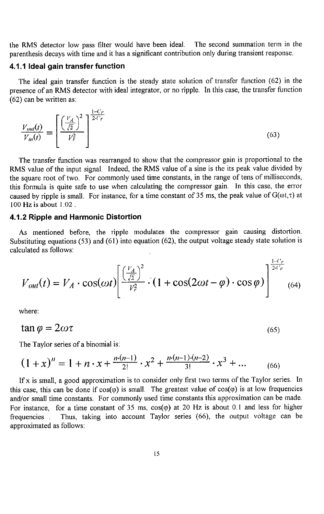the RMS detector low pass filter would have been ideal. The second summation term in the parenthesis decays with time and it has a significant contribution only during transient response.

#### 4.1.1 Ideal gain transfer function

The ideal gain transfer function is the steady state solution of transfer function (62) in the presence of an RMS detector with ideal integrator, or no ripple. In this case, the transfer function (62) can be written as:

$$
\frac{V_{out}(t)}{V_{in}(t)} = \left[\frac{\left(\frac{V_A}{\sqrt{2}}\right)^2}{V_r^2}\right]^{\frac{1-C_r}{2\cdot C_r}}
$$
\n(63)

The transfer function was rearranged to show that the compressor gain is proportional to the RMS value of the input signal. Indeed, the RMS value of a sine is the its peak value divided by the square root of two. For commonly used time constants, in the range of tens of milliseconds, this formula is quite safe to use when calculating the compressor gain. In this case, the error caused by ripple is small. For instance, for a time constant of 35 ms, the peak value of  $G(\omega, \tau)$  at 100 Hz is about 1.02.

#### *4*.*1*.*2* R*i*p*p*l*e a*nd H*a*rmoni*c D*i*s*tor*ti*on

As mentioned before, the ripple modulates the compressor gain causing distortion. Substituting equations (53) and (61) into equation (62), the output voltage steady state solution is calculated as follows:

$$
V_{out}(t) = V_A \cdot \cos(\omega t) \left[ \frac{\left(\frac{V_A}{\sqrt{2}}\right)^2}{V_r^2} \cdot (1 + \cos(2\omega t - \varphi) \cdot \cos \varphi) \right]^{\frac{1-\epsilon}{2\epsilon' r}} \tag{64}
$$

l-**('r**

where:

$$
\tan \varphi = 2\omega \tau \tag{65}
$$

The Taylor series of a binomial is:

$$
(1+x)^{n} = 1 + n \cdot x + \frac{n(n-1)}{2!} \cdot x^{2} + \frac{n(n-1) \cdot (n-2)}{3!} \cdot x^{3} + \dots
$$
 (66)

If x is small, a good approximation is to consider only first two terms of the Taylor series. In this case, this can be done if  $cos(\varphi)$  is small. The greatest value of  $cos(\varphi)$  is at low frequencies and**/**or small time constants. For commonly used time constants this approximation can be made. For instance, for a time constant of 35 ms,  $cos(\varphi)$  at 20 Hz is about 0.1 and less for higher frequencies . Thus, taking into account Taylor series (66), the output voltage can be approximated as follows: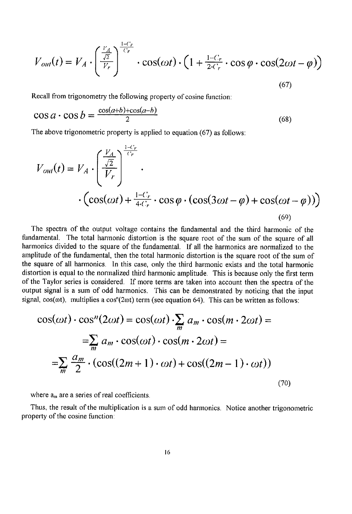$$
V_{out}(t) = V_A \cdot \left(\frac{\frac{V_A}{\sqrt{2}}}{V_r}\right)^{\frac{1-C_r}{C_r}} \cdot \cos(\omega t) \cdot \left(1 + \frac{1-C_r}{2-C_r} \cdot \cos\varphi \cdot \cos(2\omega t - \varphi)\right)
$$
\n(67)

Recall from trigonometry the following property of cosine function:

$$
\cos a \cdot \cos b = \frac{\cos(a+b) + \cos(a-b)}{2} \tag{68}
$$

The above trigonometric property is applied to equation (67) as follows:

$$
V_{out}(t) = V_A \cdot \left(\frac{\frac{V_A}{\sqrt{2}}}{V_r}\right)^{\frac{1-C_r}{C_r}} \cdot \left(\cos(\omega t) + \frac{1-C_r}{4-C_r} \cdot \cos\varphi \cdot (\cos(3\omega t - \varphi) + \cos(\omega t - \varphi))\right)
$$
\n
$$
(69)
$$

The spectra of the output voltage contains the fundamental and the third harmonic of the fundamental. The total harmonic distortion is the square root of the sum of the square of all harmonics divided to the square of the fundamental. If all the harmonics are normalized to the amplitude of the fundamental, then the total harmonic distortion is the square root of the sum of the square of all harmonics. In this case, only the third harmonic exists and the total harmonic distortion is equal to the normalized third harmonic amplitude. This is because only the first term of the Taylor series is considered. If more terms are taken into account then the spectra of the output signal is a sum of odd harmonics. This can be demonstrated by noticing that the input signal, cos( $\omega$ t), multiplies a cos<sup>n</sup>(2 $\omega$ t) term (see equation 64). This can be written as follows:

$$
\cos(\omega t) \cdot \cos^{n}(2\omega t) = \cos(\omega t) \cdot \sum_{m} a_{m} \cdot \cos(m \cdot 2\omega t) =
$$
  
=
$$
\sum_{m} a_{m} \cdot \cos(\omega t) \cdot \cos(m \cdot 2\omega t) =
$$
  
=
$$
\sum_{m} \frac{a_{m}}{2} \cdot (\cos((2m+1) \cdot \omega t) + \cos((2m-1) \cdot \omega t))
$$
  
(70)

where  $a_m$  are a series of real coefficients.

Thus, the result of the multiplication is a sum of odd harmonics. Notice another trigonometric property of the cosine function: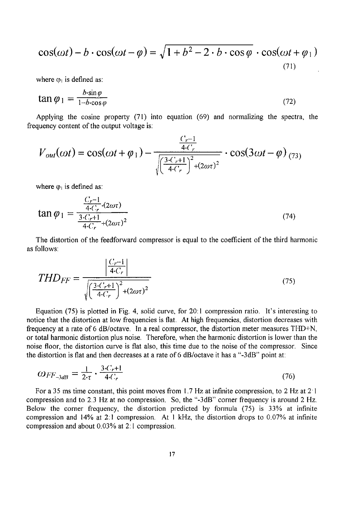$$
\cos(\omega t) - b \cdot \cos(\omega t - \varphi) = \sqrt{1 + b^2 - 2 \cdot b \cdot \cos \varphi} \cdot \cos(\omega t + \varphi_1)
$$
\n(71)

where  $\varphi_1$  is defined as:

$$
\tan \varphi_1 = \frac{b \cdot \sin \varphi}{1 - b \cdot \cos \varphi} \tag{72}
$$

Applying the cosine property (71) into equation (69) and normalizing the spectra, the frequency content of the output voltage is:

$$
V_{out}(\omega t) = \cos(\omega t + \varphi_1) - \frac{\frac{C_r - 1}{4 \cdot C_r}}{\sqrt{\left(\frac{3 \cdot C_r + 1}{4 \cdot C_r}\right)^2 + (2\omega \tau)^2}} \cdot \cos(3\omega t - \varphi)_{(73)}
$$

where  $\varphi_1$  is defined as:

$$
\tan \varphi_1 = \frac{\frac{C_r - 1}{4 \cdot C_r} \cdot (2\omega \tau)}{\frac{3 \cdot C_r + 1}{4 \cdot C_r} + (2\omega \tau)^2}
$$
(74)

The distortion of the feedforward compressor is equal to the coefficient of the third harmonic as follows:

$$
THD_{FF} = \frac{\left|\frac{C_r - 1}{4 \cdot C_r}\right|}{\sqrt{\left(\frac{3 \cdot C_r + 1}{4 \cdot C_r}\right)^2 + (2\omega \tau)^2}}
$$
(75)

Equation (75) is plotted in Fig. 4, solid curve, for 20:1 compression ratio**,** lt's interesting to notice that the distortion at Iow frequencies is flat. At high frequencies, distortion decreases with frequency at a rate of 6 dB**/**octave. In a real compressor, the distortion meter measures THD+N, or total harmonic distortion plus noise. Therefore, when the harmonic distortion is lower than the noise floor, the distortion curve is flat also, this time due to the noise of the compressor. Since the distortion is flat and then decreases at a rate of 6 dB**/**octave it has a "-3dB" point at:

$$
\omega_{FF\text{-}3dB} = \frac{1}{2\cdot\tau} \cdot \frac{3\cdot C_r + 1}{4\cdot C_r} \tag{76}
$$

For a 35 ms time constant, this point moves from 1.7 Hz at infinite compression, to 2 Hz at 2'1 compression and to 2.3 Hz at no compression. So, the "-3dB' corner frequency is around 2 Hz. Below the corner frequency, the distortion predicted by formula (75) is 33% at infinite compression and 14% at 2:1 compression. At 1 kHz, the distortion drops to 0.07% at infinite compression and about 0.03% at 2:1 compression.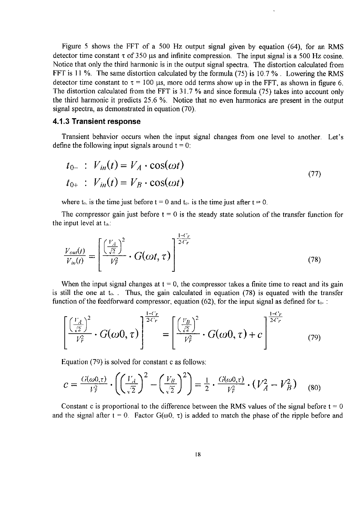Figure **5** shows the FFT of a 500 Hz output signal given by equation (64), for an RMS detector time constant  $\tau$  of 350  $\mu$ s and infinite compression. The input signal is a 500 Hz cosine. Notice that only the third harmonic is in the output signal spectra. The distortion calculated from FFT is 11%. The same distortion calculated by the formula (75) is 10.7 %. Lowering the RMS detector time constant to  $\tau = 100 \mu s$ , more odd terms show up in the FFT, as shown in figure 6. The distortion calculated from the FFT is 31.7 % and since formula (75) takes into account only the third harmonic it predicts 25.6 %. Notice that no **e**ven harmonics are present in the output signal spectra, as demonstrated in equation (70).

#### 4.1.3 Transient response

Transient behavior occurs when the input signal changes from one level to another. Let's define the following input signals around  $t = 0$ :

$$
t_{0-}: V_{in}(t) = V_A \cdot \cos(\omega t)
$$
  
\n
$$
t_{0+}: V_{in}(t) = V_B \cdot \cos(\omega t)
$$
 (77)

where  $t_0$ , is the time just before  $t = 0$  and  $t_0$ , is the time just after  $t = 0$ .

The compressor gain just before  $t = 0$  is the steady state solution of the transfer function for the input level at  $t_0$ .:

$$
\frac{V_{out}(t)}{V_{in}(t)} = \left[\frac{\left(\frac{V_A}{\sqrt{2}}\right)^2}{V_F^2} \cdot G(\omega t, \tau)\right]^{\frac{1-C_r}{2-C_r}}
$$
\n(78)

When the input signal changes at  $t = 0$ , the compressor takes a finite time to react and its gain is still the one at  $t_0$ . Thus, the gain calculated in equation (78) is equated with the transfer function of the feedforward compressor, equation (62), for the input signal as defined for  $t_0$ .:

$$
\left[\frac{\left(\frac{V_A}{\sqrt{2}}\right)^2}{V_r^2} \cdot G(\omega 0, \tau)\right]^{\frac{1-C_r}{2-C_r}} = \left[\frac{\left(\frac{V_B}{\sqrt{2}}\right)^2}{V_r^2} \cdot G(\omega 0, \tau) + c\right]^{\frac{1-C_r}{2-C_r}}
$$
(79)

Equation (79) is solved for constant c as follows:

$$
c = \frac{G(\omega 0, \tau)}{V_{\tau}^2} \cdot \left( \left( \frac{V_A}{\sqrt{2}} \right)^2 - \left( \frac{V_B}{\sqrt{2}} \right)^2 \right) = \frac{1}{2} \cdot \frac{G(\omega 0, \tau)}{V_{\tau}^2} \cdot (V_A^2 - V_B^2) \tag{80}
$$

Constant c is proportional to the difference between the RMS values of the signal before  $t = 0$ and the signal after  $t = 0$ . Factor  $G(\omega 0, \tau)$  is added to match the phase of the ripple before and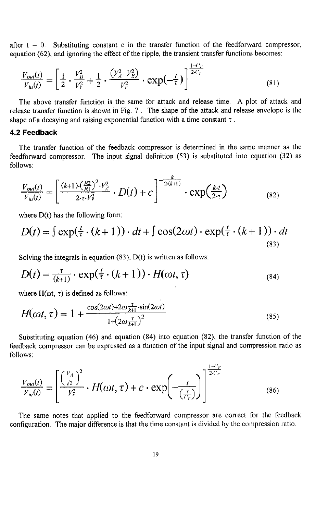after  $t = 0$ . Substituting constant c in the transfer function of the feedforward compressor, equation (62), and ignoring the effect of the ripple, the transient transfer functions becomes:

$$
\frac{V_{out}(t)}{V_{in}(t)} = \left[\frac{1}{2} \cdot \frac{V_B^2}{V_F^2} + \frac{1}{2} \cdot \frac{\left(V_A^2 - V_B^2\right)}{V_F^2} \cdot \exp\left(-\frac{t}{\tau}\right)\right]^{\frac{1-C_r}{2-C_r}}
$$
\n(81)

The above transfer function is the same for attack and release time. A plot of attack and release transfer function is shown in Fig, 7. The shape of the attack and release envelope is the shape of a decaying and raising exponential function with a time constant  $\tau$ .

#### 4.2 Feedback

The transfer function of the feedback compressor is determined in the same manner as the feedforward compressor. The input signal definition (53) is substituted into equation (32) as follows:

$$
\frac{V_{out}(t)}{V_{in}(t)} = \left[\frac{(k+1)\cdot(\frac{R2}{R1})^2 \cdot V_A^2}{2 \cdot \tau \cdot V_T^2} \cdot D(t) + c\right]^{-\frac{k}{2\cdot (k+1)}} \cdot \exp(\frac{k \cdot t}{2 \cdot \tau})
$$
(82)

where D(t) has the following form:

$$
D(t) = \int \exp(\frac{t}{\tau} \cdot (k+1)) \cdot dt + \int \cos(2\omega t) \cdot \exp(\frac{t}{\tau} \cdot (k+1)) \cdot dt
$$
\n(83)

Solving the integrals in equation  $(83)$ ,  $D(t)$  is written as follows:

$$
D(t) = \frac{\tau}{(k+1)} \cdot \exp(\frac{t}{\tau} \cdot (k+1)) \cdot H(\omega t, \tau)
$$
\n(84)

where  $H(\omega t, \tau)$  is defined as follows:

$$
H(\omega t, \tau) = 1 + \frac{\cos(2\omega t) + 2\omega \frac{\tau}{k+1} \cdot \sin(2\omega t)}{1 + (2\omega \frac{\tau}{k+1})^2}
$$
(85)

Substituting equation (46) and equation (84) into equation (82), the transfer function of the feedback compressor can be expressed as a function of the input signal and compression ratio as follows:

$$
\frac{V_{out}(t)}{V_{in}(t)} = \left[\frac{\left(\frac{V_A}{\sqrt{2}}\right)^2}{V_F^2} \cdot H(\omega t, \tau) + c \cdot \exp\left(-\frac{t}{\left(\frac{\tau}{V_F}\right)}\right)\right]^{\frac{1 - C_F}{2C_F}}
$$
(86)

The same notes that applied to the feedforward compressor are correct for the feedback configuration. The major difference is that the time constant is divided by the compression ratio.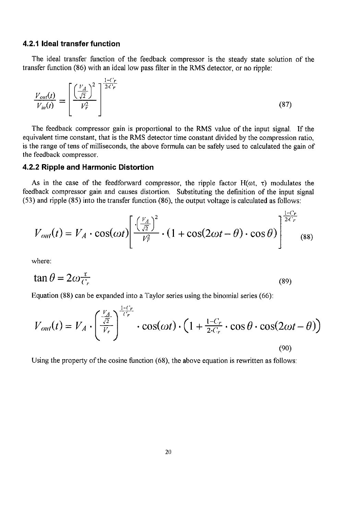#### 4.2.1 Ideal transfer function

The ideal transfer function of the feedback compressor is the steady state solution of the transfer function (86) with an ideal low pass filter in the RMS detector, or no ripple:

$$
\frac{V_{out}(t)}{V_{in}(t)} = \left[\frac{\left(\frac{V_A}{\sqrt{2}}\right)^2}{V_r^2}\right]^{\frac{1-C_F}{2C_F}}
$$
\n(87)

The feedback compressor gain is proportional to the RMS value of the input signal. If the equivalent time constant, that is the EMS detector time constant divided by the compression ratio, is the range of tens of milliseconds, the above formula can be safely used to calculated the gain of the feedback compressor.

#### 4.2.2 Ripple and Harmonic Distortion

As in the case of the feedforward compressor, the ripple factor  $H(\omega t, \tau)$  modulates the feedback compressor gain and causes distortion. Substituting the definition of the input signal (53) and ripple (85) into the transfer function (86), the output voltage is calculated as follows:

$$
V_{out}(t) = V_A \cdot \cos(\omega t) \left[ \frac{\left(\frac{V_A}{\sqrt{2}}\right)^2}{V_T^2} \cdot \left(1 + \cos(2\omega t - \theta) \cdot \cos\theta\right) \right]^{1-(r)} \tag{88}
$$

where:

$$
\tan \theta = 2\omega \frac{\tau}{C_r} \tag{89}
$$

Equation (88) can be expanded into a Taylor series using the binomial series (66):

1-**(** '**r**

$$
V_{out}(t) = V_A \cdot \left(\frac{\frac{V_A}{\sqrt{2}}}{V_r}\right)^{\frac{1-\epsilon_r}{\epsilon_r}} \cdot \cos(\omega t) \cdot \left(1 + \frac{1-C_r}{2\cdot C_r} \cdot \cos\theta \cdot \cos(2\omega t - \theta)\right)
$$
\n(90)

Using the property of the cosine function (68), the above equation is rewritten as follows: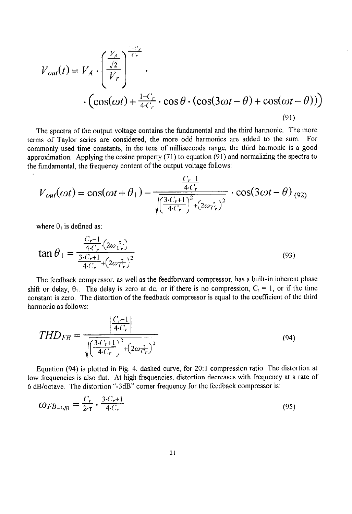$$
V_{out}(t) = V_A \cdot \left(\frac{\frac{V_A}{\sqrt{2}}}{V_r}\right)^{\frac{1-C_r}{C_r}} \cdot \left(\cos(\omega t) + \frac{1-C_r}{4(C_r} \cdot \cos\theta \cdot (\cos(3\omega t - \theta) + \cos(\omega t - \theta))\right)
$$
\n(91)

The spectra of the output voltage contains the fundamental and the third harmonic. The more terms of Taylor series are considered, the more odd harmonics are added to the sum. For commonly used time constants, in the tens of milliseconds range, the third harmonic is a good approximation. Applying the cosine property (71) to equation (91) and normalizing the spectra to the fundamental, the frequency content of the output voltage follows:

$$
V_{out}(\omega t) = \cos(\omega t + \theta_1) - \frac{\frac{C_r - 1}{4 \cdot C_r}}{\sqrt{\left(\frac{3 \cdot C_r + 1}{4 \cdot C_r}\right)^2 + \left(2 \omega \frac{\tau}{C_r}\right)^2}} \cdot \cos(3\omega t - \theta)_{(92)}
$$

where  $\theta_1$  is defined as:

$$
\tan \theta_1 = \frac{\frac{C_r - 1}{4 \cdot C_r} \cdot (2\omega \frac{\tau}{C_r})}{\frac{3 \cdot C_r + 1}{4 \cdot C_r} + (2\omega \frac{\tau}{C_r})^2}
$$
(93)

The feedback compressor, as well as the feedforward compressor, has a built-in inherent phase shift or delay,  $\theta_1$ . The delay is zero at dc, or if there is no compression,  $C_r = 1$ , or if the time constant is zero. The distortion of the feedback compressor is equal to the coefficient of the third harmonic as follows:

$$
THD_{FB} = \frac{\left|\frac{C_r - 1}{4 \cdot C_r}\right|}{\sqrt{\left(\frac{3 \cdot C_r + 1}{4 \cdot C_r}\right)^2 + \left(2 \omega \frac{\tau}{C_r}\right)^2}}
$$
(94)

Equation (94) is plotted in Fig. 4, dashed curve, for 2021 compression ratio. The distortion at low frequencies is also flat. At high frequencies, distortion decreases with frequency at a rate of 6 dB**/**octave. The distortion "-3dB" corner frequency for the feedback compressor is:

$$
\omega_{FB_{-3dB}} = \frac{C_r}{2\cdot \tau} \cdot \frac{3\cdot C_r + 1}{4\cdot C_r} \tag{95}
$$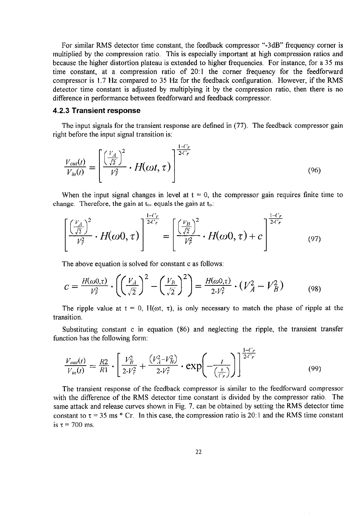For similar RMS detector time constant, the feedback compressor "-3dB" frequency corner is multiplied by the compression ratio. This is especially important at high compression ratios and because the higher distortion plateau is extended to higher frequencies. For instance, for a 35 ms time constant, at a compression ratio of 20:1 the corner frequency for the feedforward compressor is 1.7 Hz compared to 35 Hz for the feedback configuration. However, if the RMS detector time constant is adjusted by multiplying it by the compression ratio, then there is no difference in performance between feedforward and feedback compressor.

#### 4.2.3 Transient response

The input signals for the transient response are defined in (77). The feedback compressor gain right before the input signal transition is:

$$
\frac{V_{out}(t)}{V_{in}(t)} = \left[\frac{\left(\frac{V_A}{\sqrt{2}}\right)^2}{V_T^2} \cdot H(\omega t, \tau)\right]^{\frac{1-C_r}{2-C_r}}
$$
\n(96)

When the input signal changes in level at  $t = 0$ , the compressor gain requires finite time to change. Therefore, the gain at  $t_{0+}$  equals the gain at  $t_0$ .

$$
\left[\frac{\left(\frac{V_A}{\sqrt{2}}\right)^2}{V_r^2} \cdot H(\omega 0, \tau)\right]^{\frac{1-C_r}{2-C_r}} = \left[\frac{\left(\frac{V_B}{\sqrt{2}}\right)^2}{V_r^2} \cdot H(\omega 0, \tau) + c\right]^{\frac{1-C_r}{2-C_r}}
$$
(97)

The above equation is solved for constant c as follows:

$$
c = \frac{H(\omega 0, \tau)}{V_F^2} \cdot \left( \left( \frac{V_A}{\sqrt{2}} \right)^2 - \left( \frac{V_B}{\sqrt{2}} \right)^2 \right) = \frac{H(\omega 0, \tau)}{2 V_F^2} \cdot (V_A^2 - V_B^2) \tag{98}
$$

The ripple value at  $t = 0$ ,  $H(\omega t, \tau)$ , is only necessary to match the phase of ripple at the transition.

Substituting constant c in equation (86) and neglecting the ripple, the transient transfer function has the following form:

I-**(***'***r**

$$
\frac{V_{out}(t)}{V_{in}(t)} = \frac{R2}{R1} \cdot \left[ \frac{V_B^2}{2 \cdot V_F^2} + \frac{(V_A^2 - V_B^2)}{2 \cdot V_F^2} \cdot \exp\left(-\frac{t}{\left(\frac{\tau}{V_F}\right)}\right) \right]^{\frac{1}{2 \cdot C_F}} \tag{99}
$$

The transient response of the feedback compressor is similar to the feedforward compressor with the difference of the RMS detector time constant is divided by the compressor ratio. The same attack and release curves shown in Fig. 7, can be obtained by setting the RMS detector time constant to  $\tau = 35$  ms \* Cr. In this case, the compression ratio is 20:1 and the RMS time constant is  $\tau = 700$  ms.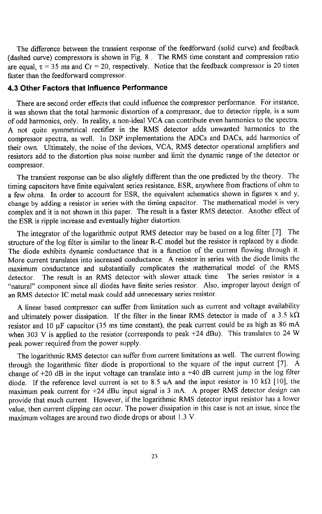The difference between the transient response of the feedforward (solid curve) and feedback (dashed curve) compressors is shown in Fig. 8. The RMS time constant and compression ratio are equal,  $\tau = 35$  ms and Cr = 20, respectively. Notice that the feedback compressor is 20 times faster than the feedforward compressor.

#### 4.3 Other Factors that Influence Performance

There are second order effects that could influence the compressor performance. For instance, it was shown that the total harmonic distortion of a compressor, due to detector ripple, is a sum of odd harmonics, only. In reality, a non-ideal VCA can contribute even harmonics to the spectra.<br>A not quite symmetrical rectifier in the RMS detector adds unwanted harmonics to the A not quite symmetrical rectifier in the RMS detector adds unwanted harmonics to the compressor spectra, as well. In DSP implementations the ADCs and DACs, add harmonics of their own. Ultimately, the noise of the devices, VCA, RMS detector operational amplifiers and resistors add to the distortion plus noise number and limit the dynamic range of the detector or compressor.

The transient response can be also slightly different than the one predicted by the theory. The timing capacitors have finite equivalent series resistance, ESR, anywhere from fractions of ohm to a few ohms. In order to account for ESR, the equivalent schematics shown in figures x and y, change by adding a resistor in series with the timing capacitor. The mathematical model is very change by adding a resistor in series with the timing capacitor. The mathematical model is very complex and it is not shown in this paper. The result is a faster RMS detector. Another effect of the ESR is ripple increase and eventually higher distortion.

The integrator of the logarithmic output RMS detector may be based on a log filter [7]. The structure of the log filter is similar to the linear R*-*C model but the resistor is replaced by a diode. The diode exhibits dynamic conductance that is a function of the current flowing through it. More current translates into increased conductance. A resistor in series with the diode limits the maximum conductance and substantially complicates the mathematical model of the RMS detector. The result is an RMS detector with slower attack time. The series resistor is a "natural" component since all diodes have finite series resistor. Also, improper layout design of an RIMS detector lC metal mask could add unnecessary series resistor.

A linear based compressor can suffer from limitation such as current and voltage availability and ultimately power dissipation. If the filter in the linear RMS detector is made of a 3.5 k $\Omega$ resistor and 10 µF capacitor (35 ms time constant), the peak current could be as high as 86 mA when 303 V is applied to the resistor (corresponds to peak +24 dBu). This translates to 24 W peak power required from the power supply.

The logarithmic RMS detector can suffer from current limitations as well. The current flowing through the logarithmic filter diode is proportional to the square of the input current [7]. A change of  $+20$  dB in the input voltage can translate into a  $+40$  dB current jump in the log filter diode. If the reference level current is set to 8.5 uA and the input resistor is 10 k $\Omega$  [10], the maximum peak current for +24 dBu input signal is 3 mA. A proper RMS detector design can provide that much current. However, if the logarithmic RMS detector input resistor has a lower value, then current clipping can occur. The power dissipation in this case is not an issue, since the maximum voltages are around two diode drops or about 1.3 V.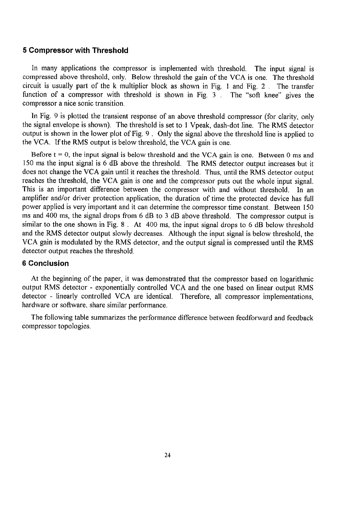# 5 Compressor with Threshold

In many applications the compressor is implemented with threshold. The input signal is compressed above threshold, only. Below threshold the gain of the VCA is one. The threshold circuit is usually part of the k multiplier block as shown in Fig. 1 and Fig. 2 . **T**he transfer function of a compressor with threshold is shown in Fig. 3 . The "soft knee" gives the compressor a nice sonic transition.

In Fig. 9 is plotted the transient response of an above threshold compressor (for clarity, only the signal envelope is shown). The threshold is set to 1 Vpeak, dash-dot line. The RMS detector output is shown in the lower plot of Fig. 9. Only the signal above the threshold line is applied to the VCA. If the RMS output is below threshold, the VCA gain is one.

Before  $t = 0$ , the input signal is below threshold and the VCA gain is one. Between 0 ms and 150 ms the input signal is 6 dB above the threshold. The RMS detector output increases but it does not change the VCA gain until it reaches the threshold. Thus, until the RM**S** detector output reaches the threshold, the VCA gain is one and the compressor puts out the whole input signal. This is an important difference between the compressor with and without threshold. In an amplifier and**/**or driver protection application, the duration of time the protected device has full power applied is very important and it can determine the compressor time constant. Between 1**5**0 ms and 400 ms, the signal drops from 6 dB to 3 dB above threshold. The compressor output is similar to the one shown in Fig. 8 . At 400 ms, the input signal drops to 6 dB below threshold and the RMS detector output slowly decreases. Although the input signal is below threshold, the VCA gain is modulated by the RMS detector, and the output signal is compressed until the RMS detector output reaches the threshold.

#### 6 Conclusion

At the beginning of the paper, it was demonstrated that the compressor based on logarithmic output RMS detector - exponentially controlled VCA and the one based on linear output RMS detector - linearly controlled VCA are identical. Therefore, all compressor implementations, hardware or software, share similar performance.

The following table summarizes the performance difference between feedforward and feedback compressor topologies.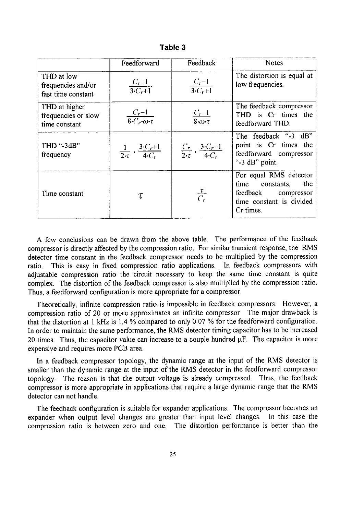|                                                        | Feedforward                                                      | Feedback                                                     | <b>Notes</b>                                                                                                        |
|--------------------------------------------------------|------------------------------------------------------------------|--------------------------------------------------------------|---------------------------------------------------------------------------------------------------------------------|
| THD at low<br>frequencies and/or<br>fast time constant | $\frac{C_r-1}{3\cdot C_r+1}$                                     | $\frac{C_r-1}{3(C_r+1)}$                                     | The distortion is equal at<br>low frequencies.                                                                      |
| THD at higher<br>frequencies or slow<br>time constant  | $\frac{C_r-1}{8\cdot C_r\cdot\omega\cdot\tau}$                   | $\frac{C_r-1}{8\cdot\omega\cdot\tau}$                        | The feedback compressor<br>THD is Cr times the<br>feedforward THD.                                                  |
| THD ''-3dB''<br>frequency                              | $\frac{1}{2 \cdot \tau}$ . $\frac{3 \cdot C_r + 1}{4 \cdot C_r}$ | $\frac{C_r}{2\cdot\tau}\cdot\frac{3\cdot C_r+1}{4\cdot C_r}$ | The feedback "-3 dB"<br>point is Cr times the<br>feedforward compressor<br>"-3 dB" point.                           |
| Time constant                                          | τ                                                                | $\frac{\tau}{C_r}$                                           | For equal RMS detector<br>time<br>constants,<br>the<br>feedback compressor<br>time constant is divided<br>Cr times. |

Table *3*

A few conclusions can be drawn from the above table. The performance of the feedback compressor is directly affected by the compression ratio. For similar transient response, the RMS detector time constant in the feedback compressor needs to be multiplied by the compression ratio. This is easy in fixed compression ratio applications. In feedback compressors with adjustable compression ratio the circuit necessary to keep the same time constant is quite complex. The distortion of the feedback compressor is also multiplied by the compression ratio. Thus, a feedforward configuration is more appropriate for a compressor.

Theoretically, infinite compression ratio is impossible in feedback compressors. However, a compression ratio of 20 or more approximates an infinite compressor The major drawback is that the distortion at I kHz is 1.4 % compared to only 0.07 % for the feedforward configuration. In order to maintain the same performance, the RMS detector timing capacitor has to be increased 20 times. Thus, the capacitor value can increase to a couple hundred  $\mu$ F. The capacitor is more expensive and requires more PCB area.

In a feedback compressor topology, the dynamic range at the input of the RMS detector is smaller than the dynamic range at the input of the RMS detector in the feedforward compressor topology. The reason is that the output voltage is already compressed Thus, the feedback compressor is more appropriate in applications that require a large dynamic range that the RMS detector can not handle.

The feedback configuration is suitable for expander applications. The compressor becomes an expander when output level changes are greater than input level changes. In this case the compression ratio is between zero and one. The distortion performance is better than the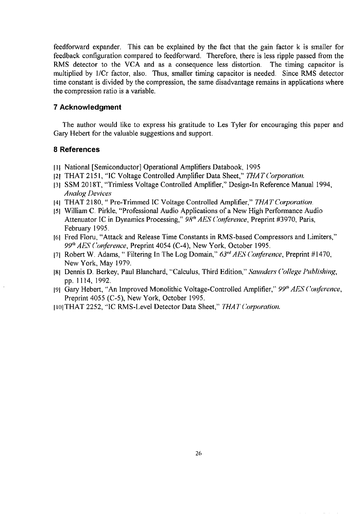feedforward expander. This can be explained by the fact that the gain factor k is smaller for feedback configuration compared to feedforward. Therefore, there is less ripple passed from the RMS detector to the VCA and as a consequence less distortion. The timing capacitor is multiplied by 1/Cr factor, also. Thus, smaller timing capacitor is needed. Since RMS detector time constant is divided by the compression, the same disadvantage remains in applications where the compression ratio is a variable.

#### 7 Acknowledgment

The author would like to express his gratitude to Les Tyler for encouraging this paper and Gary Hebert for the valuable suggestions and support.

### 8 References

- Ill National [Semiconductor] Operational Amplifiers Databook, 1995
- I21 THAT 2151, "lC Voltage Controlled **bd**nplifier Data Sheet," **THATCorporation**.
- 131 SSM 2018T, "Trimless Voltage Controlled Amplifier," Design-ln Reference Manual 1994, **Analog Devices**
- 141THAT 2180," Pre-Trimmed IC Voltage Controlled Amplifier," **THATCorporation**.
- [51 William C. Pirkle, "Professional Audio Applications of a New High Performance Audio Attenuator IC in Dynamics Processing,"  $98$ <sup>th</sup> AES Conference, Preprint #3970, Paris, February 1995.
- 161 Fred Floru, "Attack and Release Time Constants in RMS-based Compressors and Limiters," 99<sup>th</sup> AES Conference, Preprint 4054 (C-4), New York, October 1995.
- 171Robert W. Adams," Filtering In The Log Domain," **63r'**\_**AESCot**.l**ference**,Preprint #1470, New York, May 1979.
- 181Dennis D. Berkey, Paul Blanchard, "Calculus, Third Edition," **Saut**l**de**lw**(**'**ollege t'ubli**x**hing**, pp. 1114, 1992.
- 191 Gary Hebert, "An Improved Monolithic Voltage-Controlled Amplifier," 99<sup>th</sup> AES Conference, Preprint 4055 (C-5), New York, October 1995.
- **II01THAT 2252, "IC RMS-Level Detector Data Sheet," THAT Corporation.**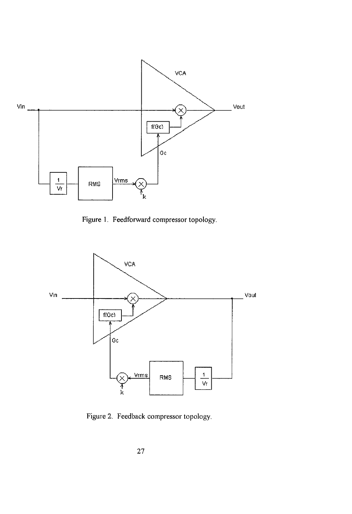

Figure 1. Feedforward compressor topology.



Figure 2. Feedback compressor topology.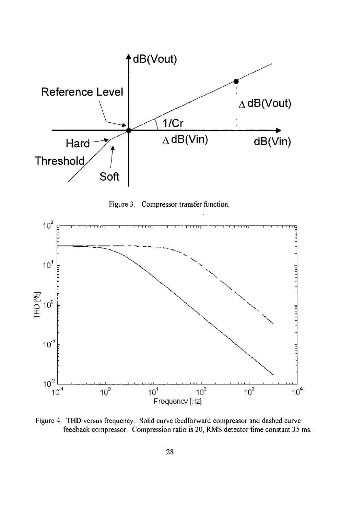





Figure 4. THD versus frequency. Solid curve feedforward compressor and dashed curve feedback compressor. Compression ratio is 20, RMS detector time constant 35 ms.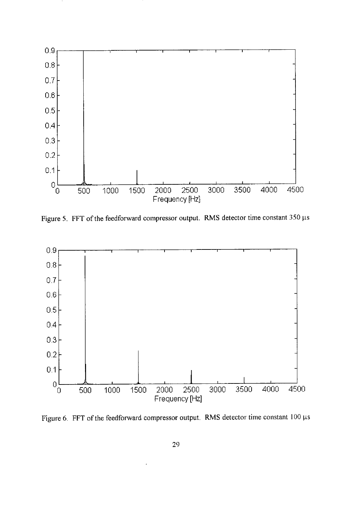

Figure 5. FFT of the feedforward compressor output. RMS detector time constant 350  $\mu$ s



Figure 6. FFT of the feedforward compressor output. RMS detector time constant 100  $\mu$ s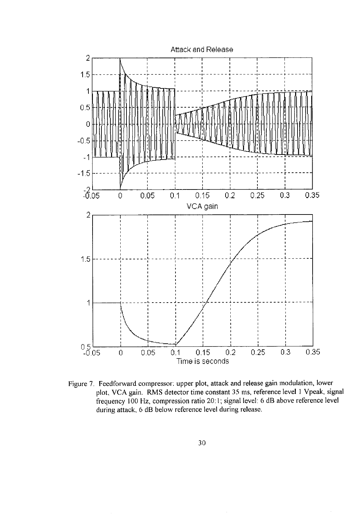

Figure 7. Feedforward compressor: upper plot, attack and release gain modulation, lower plot, VCA gain. RMS detector time constant 35 *i*ns, reference level I Vpeak, signal frequency 100 Hz, compression ratio 20:1; signal level: 6 dB above reference level during attack, 6 dB below reference level during release.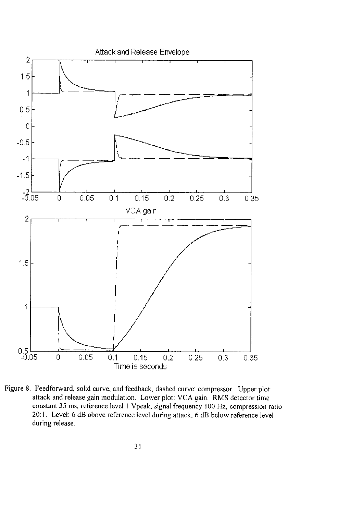

Figure 8. Feedforward, solid curve, and feedback, dashed curve; compressor. Upper plot: attack and release gain modulation. **L**ower plot: VCA gain. RMS detector time constant 35 ms, reference level I Vpeak, signal frequency 100 Hz, compression ratio 20:1. Level: 6 dB above reference level during attack, 6 dB below reference level during release.